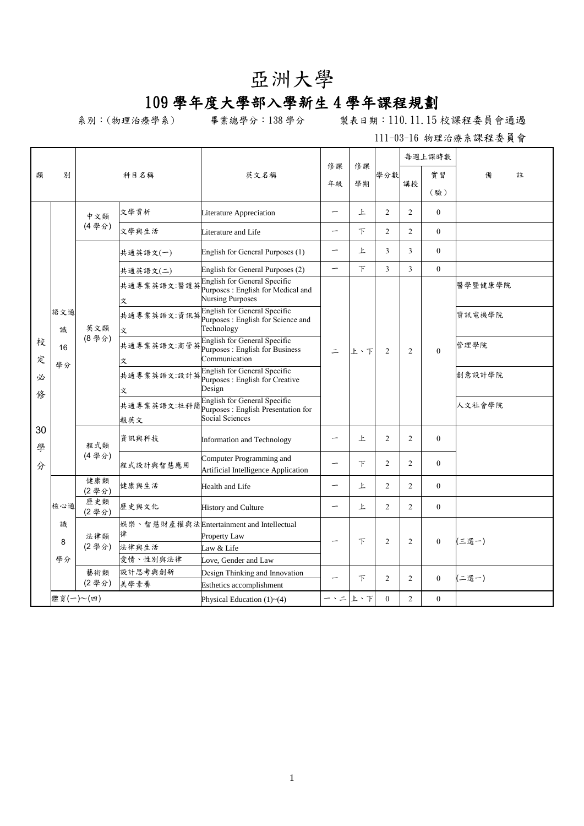## 亞洲大學

## 109 學年度大學部入學新生 4 學年課程規劃

系別:(物理治療學系) 畢業總學分:138 學分 製表日期:110.11.15 校課程委員會通過

|         |                      | 科目名稱         |                  | 英文名稱                                                                                                                   | 修課<br>年級                 | 修課  |                     |                | 每週上課時數       |         |   |
|---------|----------------------|--------------|------------------|------------------------------------------------------------------------------------------------------------------------|--------------------------|-----|---------------------|----------------|--------------|---------|---|
| 類       | 別                    |              |                  |                                                                                                                        |                          |     | 學分數                 |                | 實習           | 備       | 註 |
|         |                      |              |                  |                                                                                                                        |                          | 學期  |                     | 講授             | (驗)          |         |   |
|         |                      |              |                  |                                                                                                                        |                          |     |                     |                |              |         |   |
|         |                      | 中文類          | 文學賞析             | Literature Appreciation                                                                                                | —                        | 上   | $\overline{2}$      | $\overline{2}$ | $\theta$     |         |   |
|         |                      | (4學分)        | 文學與生活            | Literature and Life                                                                                                    | $\overline{\phantom{0}}$ | 下   | $\overline{2}$      | $\overline{2}$ | $\theta$     |         |   |
|         | 語文通<br>識<br>16<br>學分 |              | 共通英語文(一)         | English for General Purposes (1)                                                                                       | -                        | 上   | 3                   | 3              | $\theta$     |         |   |
|         |                      |              | 共通英語文(二)         | English for General Purposes (2)                                                                                       | $\overline{\phantom{0}}$ | 下   | 3                   | 3              | $\theta$     |         |   |
|         |                      | 英文類<br>(8學分) | 文                | English for General Specific<br>共通專業英語文:醫護英 <mark>Purposes : English for Medical and</mark><br><b>Nursing Purposes</b> | $\equiv$                 |     |                     | $\overline{2}$ |              | 醫學暨健康學院 |   |
|         |                      |              | 文                | Purposes : English for Science and<br>Technology                                                                       |                          |     | 2                   |                | $\Omega$     | 資訊電機學院  |   |
| 校<br>定  |                      |              | 文                | <b>English for General Specific</b><br>共通專業英語文:商管英 Purposes : English for Business<br>Communication                    |                          | 上、下 |                     |                |              | 管理學院    |   |
| 必<br>俢  |                      |              | 共通專業英語文:設計英<br>文 | English for General Specific<br>Purposes : English for Creative<br>Design                                              |                          |     |                     |                |              | 創意設計學院  |   |
|         |                      |              | 報英文              | English for General Specific<br>共通專業英語文:社科簡 <mark>Purposes : English Presentation for</mark><br>Social Sciences        |                          |     |                     |                |              | 人文社會學院  |   |
| 30<br>學 |                      | 程式類          | 資訊與科技            | Information and Technology                                                                                             | —                        | 上   | $\overline{2}$      | $\overline{2}$ | $\Omega$     |         |   |
| 分       |                      | (4學分)        | 程式設計與智慧應用        | Computer Programming and<br>Artificial Intelligence Application                                                        |                          | 下   | $\overline{2}$      | $\overline{2}$ | $\theta$     |         |   |
|         |                      | 健康類<br>(2學分) | 健康與生活            | Health and Life                                                                                                        | -                        | 上   | 2                   | $\overline{2}$ | $\Omega$     |         |   |
|         | 核心通                  | 歷史類<br>(2學分) | 歷史與文化            | <b>History and Culture</b>                                                                                             | $\overline{\phantom{0}}$ | 上   | $\overline{2}$      | $\overline{2}$ | $\theta$     |         |   |
|         | 識<br>8               | 法律類          | 律                | 娱樂、智慧財產權與法Entertainment and Intellectual<br>Property Law                                                               |                          |     | 下<br>$\overline{2}$ | $\mathfrak{D}$ | $\theta$     | (三選一)   |   |
|         |                      | (2學分)        | 法律與生活            | Law & Life                                                                                                             |                          |     |                     |                |              |         |   |
|         | 學分                   |              | 愛情、性別與法律         | Love, Gender and Law                                                                                                   |                          |     |                     |                |              |         |   |
|         |                      | 藝術類<br>(2學分) | 設計思考與創新<br>美學素養  | Design Thinking and Innovation                                                                                         |                          | 下   | $\overline{2}$      | $\overline{2}$ | $\mathbf{0}$ | (二選一)   |   |
|         |                      |              |                  | <b>Esthetics accomplishment</b>                                                                                        |                          |     |                     |                |              |         |   |
|         |                      | 體育(一)~(四)    |                  | Physical Education $(1)$ ~ $(4)$                                                                                       | ー、ニ                      | 上、下 | $\theta$            | $\overline{2}$ | $\theta$     |         |   |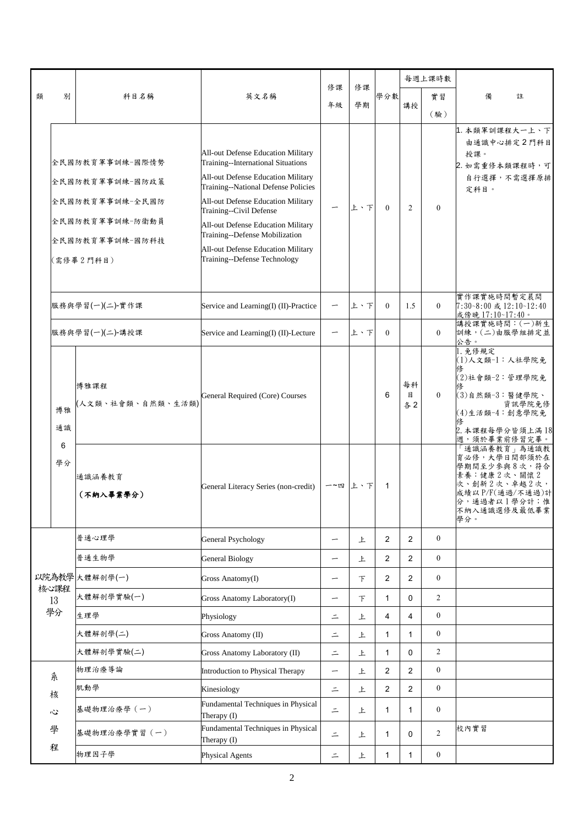|   | 別          | 科目名稱                                                                                                     | 英文名稱                                                                                                                                                                                                                                                                                                                                                                 | 修課<br>年級                 | 修課<br>學期 | 學分數            |                | 每週上課時數           |                                                                                                                                        |
|---|------------|----------------------------------------------------------------------------------------------------------|----------------------------------------------------------------------------------------------------------------------------------------------------------------------------------------------------------------------------------------------------------------------------------------------------------------------------------------------------------------------|--------------------------|----------|----------------|----------------|------------------|----------------------------------------------------------------------------------------------------------------------------------------|
| 類 |            |                                                                                                          |                                                                                                                                                                                                                                                                                                                                                                      |                          |          |                |                | 實習               | 備<br>註                                                                                                                                 |
|   |            |                                                                                                          |                                                                                                                                                                                                                                                                                                                                                                      |                          |          |                | 講授             | (驗)              |                                                                                                                                        |
|   |            | 全民國防教育軍事訓練-國際情勢<br>全民國防教育軍事訓練-國防政策<br>全民國防教育軍事訓練-全民國防<br>全民國防教育軍事訓練-防衛動員<br>全民國防教育軍事訓練-國防科技<br>(需修畢2門科目) | All-out Defense Education Military<br>Training--International Situations<br>All-out Defense Education Military<br>Training--National Defense Policies<br>All-out Defense Education Military<br>Training--Civil Defense<br>All-out Defense Education Military<br>Training--Defense Mobilization<br>All-out Defense Education Military<br>Training--Defense Technology |                          | 上、下      | $\theta$       | $\overline{c}$ | $\mathbf{0}$     | 1. 本類軍訓課程大一上、下<br>由通識中心排定2門科目<br>授課。<br>2. 如需重修本類課程時,可<br>自行選擇,不需選擇原排<br>定科目。                                                          |
|   |            | 服務與學習(一)(二)-實作課                                                                                          | Service and Learning(I) (II)-Practice                                                                                                                                                                                                                                                                                                                                |                          | 上、下      | $\mathbf{0}$   | 1.5            | $\overline{0}$   | 實作課實施時間暫定晨間<br>7:30~8:00 或 12:10~12:40<br>或傍晚 17:10~17:40。                                                                             |
|   |            | 服務與學習(一)(二)-講授課                                                                                          | Service and Learning(I) (II)-Lecture                                                                                                                                                                                                                                                                                                                                 | -                        | 上、下      | $\theta$       |                | $\overline{0}$   | 講授課實施時間: (一)新生<br>訓練,(二)由服學組排定並<br>公告。                                                                                                 |
|   | 博雅<br>通識   | 博雅課程<br>人文類、社會類、自然類、生活類)                                                                                 | General Required (Core) Courses                                                                                                                                                                                                                                                                                                                                      |                          |          | 6              | 每科<br>目<br>各2  | $\theta$         | 1. 免修規定<br>(1)人文類-1:人社學院免<br>(2)社會類-2:管理學院免<br>(3)自然類-3:醫健學院、<br>資訊學院免修<br>(4)生活類-4:創意學院免<br>2. 本課程每學分皆須上滿18<br>週,須於畢業前修習完畢。           |
|   | 6<br>學分    | 通識涵養教育<br>(不納入畢業學分)                                                                                      | General Literacy Series (non-credit)                                                                                                                                                                                                                                                                                                                                 | 一~四                      | 上、下      | 1              |                |                  | 「通識涵養教育」為通識教<br>育必修,大學日間部須於在<br>學期間至少參與8次,符合<br>素養:健康2次、關懷2<br>次、創新2次、卓越2次,<br>成績以 P/F(通過/不通過)計<br>分,通過者以1學分計;惟<br>不納入通識選修及最低畢業<br>學分。 |
|   |            | 普通心理學                                                                                                    | <b>General Psychology</b>                                                                                                                                                                                                                                                                                                                                            | $\overline{\phantom{0}}$ | 上        | 2              | $\overline{2}$ | $\overline{0}$   |                                                                                                                                        |
|   |            | 普通生物學                                                                                                    | <b>General Biology</b>                                                                                                                                                                                                                                                                                                                                               |                          | 上        | $\overline{c}$ | 2              | $\mathbf{0}$     |                                                                                                                                        |
|   |            | 以院為教學 大體解剖學(一)                                                                                           | Gross Anatomy(I)                                                                                                                                                                                                                                                                                                                                                     | -                        | $\top$   | 2              | $\overline{2}$ | $\boldsymbol{0}$ |                                                                                                                                        |
|   | 核心課程<br>13 | 大體解剖學實驗(一)                                                                                               | Gross Anatomy Laboratory(I)                                                                                                                                                                                                                                                                                                                                          |                          | 下        | 1              | 0              | $\overline{2}$   |                                                                                                                                        |
|   | 學分         | 生理學                                                                                                      | Physiology                                                                                                                                                                                                                                                                                                                                                           | $\equiv$                 | 上        | $\overline{4}$ | 4              | $\boldsymbol{0}$ |                                                                                                                                        |
|   |            | 大體解剖學(二)                                                                                                 | Gross Anatomy (II)                                                                                                                                                                                                                                                                                                                                                   | $\equiv$                 | 上        | 1              | 1              | $\boldsymbol{0}$ |                                                                                                                                        |
|   |            | 大體解剖學實驗(二)                                                                                               | Gross Anatomy Laboratory (II)                                                                                                                                                                                                                                                                                                                                        | $\equiv$                 | 上        | 1              | 0              | 2                |                                                                                                                                        |
|   | 系          | 物理治療導論                                                                                                   | Introduction to Physical Therapy                                                                                                                                                                                                                                                                                                                                     |                          | 上        | $\overline{2}$ | $\overline{2}$ | $\boldsymbol{0}$ |                                                                                                                                        |
|   | 核          | 肌動學                                                                                                      | Kinesiology                                                                                                                                                                                                                                                                                                                                                          | $\equiv$                 | 上        | $\overline{2}$ | $\overline{2}$ | $\boldsymbol{0}$ |                                                                                                                                        |
|   | 心          | 基礎物理治療學 (一)                                                                                              | Fundamental Techniques in Physical<br>Therapy (I)                                                                                                                                                                                                                                                                                                                    | $\equiv$                 | 上        | 1              | $\mathbf{1}$   | $\boldsymbol{0}$ |                                                                                                                                        |
|   | 學          | 基礎物理治療學實習 (一)                                                                                            | Fundamental Techniques in Physical<br>Therapy (I)                                                                                                                                                                                                                                                                                                                    | $=$                      | 上        | 1              | $\mathbf 0$    | $\overline{2}$   | 校內實習                                                                                                                                   |
|   | 程          | 物理因子學                                                                                                    | Physical Agents                                                                                                                                                                                                                                                                                                                                                      | $\equiv$                 | 上        | 1              | 1              | $\boldsymbol{0}$ |                                                                                                                                        |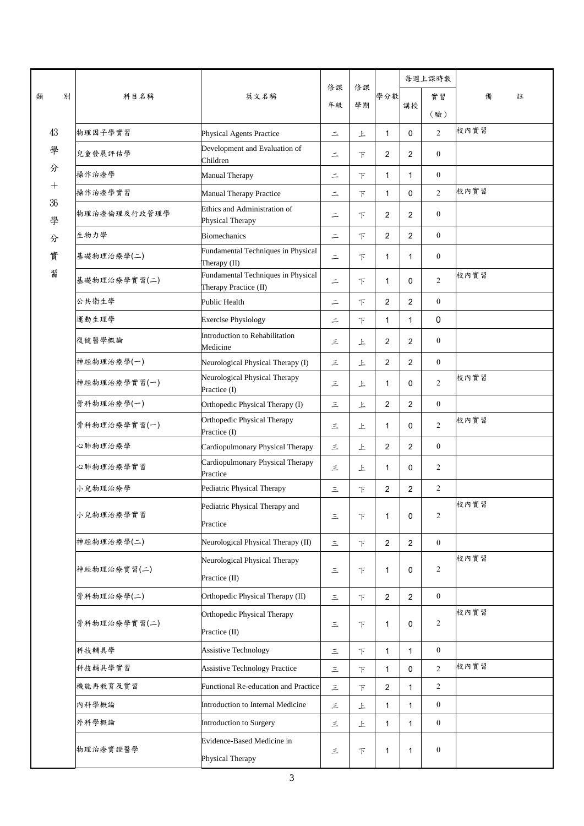|         |   | 科目名稱         | 英文名稱                                                        | 修課<br>年級 | 修課<br>學期 | 學分數            |                | 每週上課時數           |        |
|---------|---|--------------|-------------------------------------------------------------|----------|----------|----------------|----------------|------------------|--------|
| 類       | 別 |              |                                                             |          |          |                |                | 實習               | 備<br>註 |
|         |   |              |                                                             |          |          |                | 講授             | (驗)              |        |
| 43      |   | 物理因子學實習      | Physical Agents Practice                                    | $\equiv$ | 上        | $\mathbf{1}$   | $\mathbf 0$    | $\overline{2}$   | 校內實習   |
| 學       |   | 兒童發展評估學      | Development and Evaluation of<br>Children                   | $\equiv$ | $\top$   | $\overline{2}$ | 2              | $\boldsymbol{0}$ |        |
| 分       |   | 操作治療學        | Manual Therapy                                              | $\equiv$ | $\top$   | 1              | 1              | $\boldsymbol{0}$ |        |
| $^{+}$  |   | 操作治療學實習      | Manual Therapy Practice                                     | $\equiv$ | 下        | 1              | $\Omega$       | $\overline{2}$   | 校內實習   |
| 36<br>學 |   | 物理治療倫理及行政管理學 | Ethics and Administration of<br>Physical Therapy            | $\equiv$ | $\top$   | $\overline{2}$ | 2              | $\boldsymbol{0}$ |        |
| 分       |   | 生物力學         | <b>Biomechanics</b>                                         | $\equiv$ | $\top$   | $\overline{2}$ | 2              | $\boldsymbol{0}$ |        |
| 實       |   | 基礎物理治療學(二)   | Fundamental Techniques in Physical<br>Therapy (II)          | $\equiv$ | $\top$   | 1              | 1              | $\boldsymbol{0}$ |        |
| 習       |   | 基礎物理治療學實習(二) | Fundamental Techniques in Physical<br>Therapy Practice (II) | $\equiv$ | $\top$   | 1              | $\mathbf 0$    | $\overline{2}$   | 校內實習   |
|         |   | 公共衛生學        | Public Health                                               | $\equiv$ | $\top$   | $\overline{2}$ | 2              | $\boldsymbol{0}$ |        |
|         |   | 運動生理學        | <b>Exercise Physiology</b>                                  | $\equiv$ | $\top$   | $\mathbf{1}$   | $\mathbf{1}$   | $\pmb{0}$        |        |
|         |   | 復健醫學概論       | Introduction to Rehabilitation<br>Medicine                  | 三        | 上        | $\overline{2}$ | 2              | $\boldsymbol{0}$ |        |
|         |   | 神經物理治療學(一)   | Neurological Physical Therapy (I)                           | 三        | 上        | $\overline{2}$ | $\overline{2}$ | $\mathbf{0}$     |        |
|         |   | 神經物理治療學實習(一) | Neurological Physical Therapy<br>Practice (I)               | 三        | 上        | 1              | $\mathbf 0$    | $\overline{2}$   | 校內實習   |
|         |   | 骨科物理治療學(一)   | Orthopedic Physical Therapy (I)                             | 三        | 上        | $\overline{2}$ | $\overline{2}$ | $\boldsymbol{0}$ |        |
|         |   | 骨科物理治療學實習(一) | Orthopedic Physical Therapy<br>Practice (I)                 | 三        | 上        | $\mathbf{1}$   | $\mathbf 0$    | $\overline{2}$   | 校內實習   |
|         |   | 心肺物理治療學      | Cardiopulmonary Physical Therapy                            | 三        | 上        | $\overline{2}$ | 2              | $\boldsymbol{0}$ |        |
|         |   | 心肺物理治療學實習    | Cardiopulmonary Physical Therapy<br>Practice                | 三        | 上        | 1              | $\mathbf 0$    | $\overline{c}$   |        |
|         |   | 小兒物理治療學      | Pediatric Physical Therapy                                  | 三        | $\top$   | 2              | 2              | $\overline{c}$   |        |
|         |   | 小兒物理治療學實習    | Pediatric Physical Therapy and<br>Practice                  | 三        | $\top$   | $\mathbf{1}$   | 0              | $\overline{c}$   | 校內實習   |
|         |   | 神經物理治療學(二)   | Neurological Physical Therapy (II)                          | $\equiv$ | $\top$   | $\overline{2}$ | $\overline{2}$ | $\boldsymbol{0}$ |        |
|         |   | 神經物理治療實習(二)  | Neurological Physical Therapy<br>Practice (II)              | 三        | $\top$   | 1              | 0              | 2                | 校內實習   |
|         |   | 骨科物理治療學(二)   | Orthopedic Physical Therapy (II)                            | 三        | 下        | $\overline{2}$ | 2              | $\mathbf{0}$     |        |
|         |   | 骨科物理治療學實習(二) | Orthopedic Physical Therapy<br>Practice (II)                | $\equiv$ | 下        | 1              | 0              | $\overline{c}$   | 校內實習   |
|         |   | 科技輔具學        | <b>Assistive Technology</b>                                 | 三        | $\top$   | 1              | $\mathbf{1}$   | $\mathbf{0}$     |        |
|         |   | 科技輔具學實習      | <b>Assistive Technology Practice</b>                        | 三        | $\top$   | 1              | $\mathbf 0$    | $\overline{2}$   | 校內實習   |
|         |   | 機能再教育及實習     | Functional Re-education and Practice                        | 三        | 下        | 2              | 1              | $\overline{2}$   |        |
|         |   | 內科學概論        | Introduction to Internal Medicine                           | 三        | 上        | $\mathbf{1}$   | $\mathbf{1}$   | $\mathbf{0}$     |        |
|         |   | 外科學概論        | Introduction to Surgery                                     | 三        | 上        | $\mathbf{1}$   | $\mathbf{1}$   | $\mathbf{0}$     |        |
|         |   | 物理治療實證醫學     | Evidence-Based Medicine in<br>Physical Therapy              | $\equiv$ | $\top$   | 1              | 1              | $\boldsymbol{0}$ |        |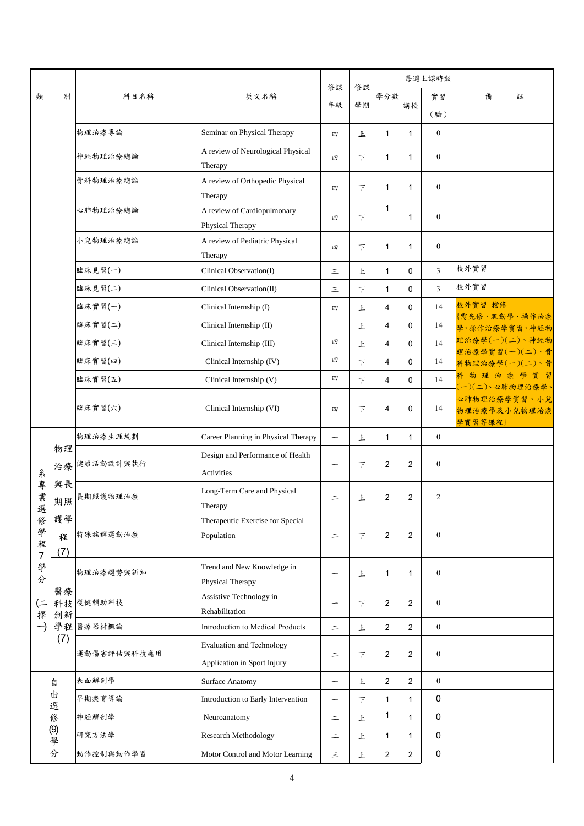|                                        | 別              | 科目名稱        | 英文名稱                                                            | 修課<br>年級                 | 修課<br>學期 | 學分數                     | 每週上課時數         |                  |                                                            |
|----------------------------------------|----------------|-------------|-----------------------------------------------------------------|--------------------------|----------|-------------------------|----------------|------------------|------------------------------------------------------------|
| 類                                      |                |             |                                                                 |                          |          |                         |                | 實習               | 備<br>註                                                     |
|                                        |                |             |                                                                 |                          |          |                         | 講授             | (驗)              |                                                            |
|                                        |                | 物理治療專論      | Seminar on Physical Therapy                                     | 四                        | 上        | $\mathbf{1}$            | $\mathbf{1}$   | $\boldsymbol{0}$ |                                                            |
|                                        |                | 神經物理治療總論    | A review of Neurological Physical<br>Therapy                    | 四                        | 下        | $\mathbf{1}$            | $\mathbf{1}$   | $\mathbf{0}$     |                                                            |
|                                        |                | 骨科物理治療總論    | A review of Orthopedic Physical<br>Therapy                      | 四                        | 下        | $\mathbf{1}$            | $\mathbf{1}$   | $\boldsymbol{0}$ |                                                            |
|                                        |                | 心肺物理治療總論    | A review of Cardiopulmonary<br>Physical Therapy                 | 四                        | F        | $\mathbf{1}$            | $\mathbf{1}$   | $\boldsymbol{0}$ |                                                            |
|                                        |                | 小兒物理治療總論    | A review of Pediatric Physical<br>Therapy                       | 四                        | $\top$   | 1                       | $\mathbf{1}$   | $\mathbf{0}$     |                                                            |
|                                        |                | 臨床見習(一)     | Clinical Observation(I)                                         | 三                        | 上        | $\mathbf{1}$            | 0              | 3                | 校外實習                                                       |
|                                        |                | 臨床見習(二)     | Clinical Observation(II)                                        | 三                        | $\top$   | $\mathbf{1}$            | 0              | 3                | 校外實習                                                       |
|                                        |                | 臨床實習(一)     | Clinical Internship (I)                                         | 四                        | 上        | 4                       | 0              | 14               | 校外實習 擋修                                                    |
|                                        |                | 臨床實習(二)     | Clinical Internship (II)                                        |                          | 上        | 4                       | 0              | 14               | {需先修, 肌動學、操作治療<br>學、操作治療學實習、神經物                            |
|                                        |                | 臨床實習(三)     | Clinical Internship (III)                                       | 四                        | 上        | 4                       | $\mathbf 0$    | 14               | 理治療學(一)(二)、神經物                                             |
|                                        |                | 臨床實習(四)     | Clinical Internship (IV)                                        | 四                        | 下        | 4                       | $\mathbf 0$    | 14               | 理治療學實習(一)(二)、骨<br>科物理治療學(一)(二)、骨                           |
|                                        |                | 臨床實習(五)     | Clinical Internship (V)                                         | 四                        | 下        | 4                       | 0              | 14               | 科物理治療學實習                                                   |
|                                        |                | 臨床實習(六)     | Clinical Internship (VI)                                        | 四                        | $\top$   | 4                       | 0              | 14               | (一)(二)、心肺物理治療學、<br>心肺物理治療學實習、小兒<br>物理治療學及小兒物理治療<br>學實習等課程) |
|                                        |                | 物理治療生涯規劃    | Career Planning in Physical Therapy                             | $\overline{\phantom{0}}$ | 上        | $\mathbf{1}$            | $\mathbf{1}$   | $\mathbf{0}$     |                                                            |
|                                        | 物理<br>治療       | 健康活動設計與執行   | Design and Performance of Health<br><b>Activities</b>           | -                        | $\top$   | 2                       | 2              | $\boldsymbol{0}$ |                                                            |
| 系專業<br>選                               | 與長<br>期照       | 長期照護物理治療    | Long-Term Care and Physical<br>Therapy                          | $\equiv$                 | 上        | 2                       | 2              | 2                |                                                            |
| 俢<br>學<br>程<br>$\overline{\mathbf{7}}$ | 護學<br>程<br>(7) | 特殊族群運動治療    | Therapeutic Exercise for Special<br>Population                  | $\equiv$                 | $\top$   | 2                       | 2              | $\boldsymbol{0}$ |                                                            |
| 學<br>分                                 |                | 物理治療趨勢與新知   | Trend and New Knowledge in<br>Physical Therapy                  |                          | 上        | 1                       | 1              | $\boldsymbol{0}$ |                                                            |
| (=<br>擇                                | 醫療<br>創新       | 科技 復健輔助科技   | Assistive Technology in<br>Rehabilitation                       | -                        | $\top$   | $\overline{2}$          | $\overline{2}$ | $\mathbf{0}$     |                                                            |
| -)                                     |                | 學程 醫療器材概論   | Introduction to Medical Products                                | $\equiv$                 | 上        | $\sqrt{2}$              | $\overline{2}$ | $\boldsymbol{0}$ |                                                            |
|                                        | (7)            | 運動傷害評估與科技應用 | <b>Evaluation and Technology</b><br>Application in Sport Injury | $\equiv$                 | $\top$   | $\overline{\mathbf{c}}$ | $\overline{c}$ | $\boldsymbol{0}$ |                                                            |
|                                        | 自              | 表面解剖學       | Surface Anatomy                                                 | —                        | 上        | $\overline{c}$          | $\mathbf{2}$   | $\mathbf{0}$     |                                                            |
|                                        | 由<br>選         | 早期療育導論      | Introduction to Early Intervention                              | -                        | $\top$   | 1                       | $\mathbf{1}$   | 0                |                                                            |
|                                        | 俢              | 神經解剖學       | Neuroanatomy                                                    | $\equiv$                 | 上        | 1                       | 1              | 0                |                                                            |
|                                        | (9) 學分         | 研究方法學       | <b>Research Methodology</b>                                     | $\equiv$                 | 上        | 1                       | 1              | 0                |                                                            |
|                                        |                | 動作控制與動作學習   | Motor Control and Motor Learning                                | 三                        | 上        | $\overline{c}$          | $\mathbf{2}$   | $\pmb{0}$        |                                                            |